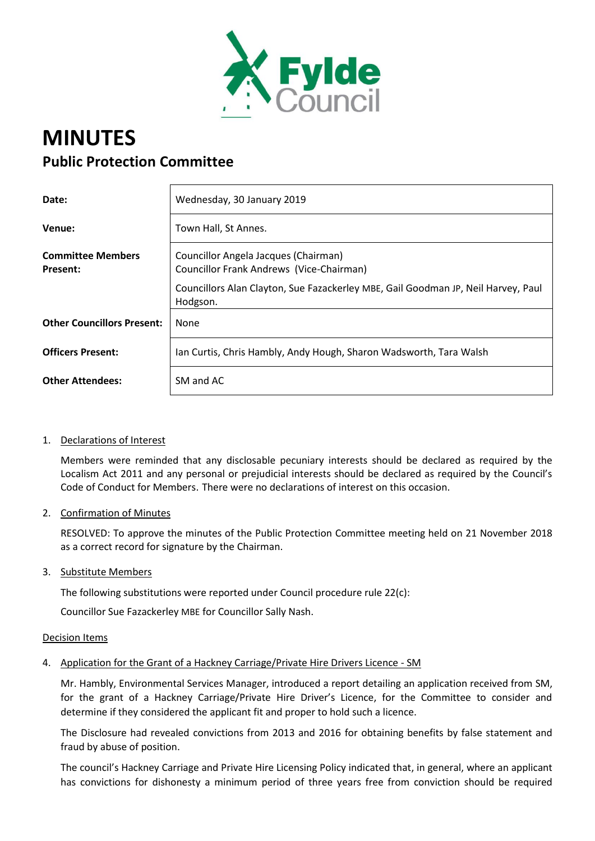

# **MINUTES Public Protection Committee**

| Date:                                       | Wednesday, 30 January 2019                                                                    |
|---------------------------------------------|-----------------------------------------------------------------------------------------------|
| Venue:                                      | Town Hall, St Annes.                                                                          |
| <b>Committee Members</b><br><b>Present:</b> | Councillor Angela Jacques (Chairman)<br>Councillor Frank Andrews (Vice-Chairman)              |
|                                             | Councillors Alan Clayton, Sue Fazackerley MBE, Gail Goodman JP, Neil Harvey, Paul<br>Hodgson. |
| <b>Other Councillors Present:</b>           | None                                                                                          |
| <b>Officers Present:</b>                    | Ian Curtis, Chris Hambly, Andy Hough, Sharon Wadsworth, Tara Walsh                            |
| <b>Other Attendees:</b>                     | SM and AC                                                                                     |

## 1. Declarations of Interest

Members were reminded that any disclosable pecuniary interests should be declared as required by the Localism Act 2011 and any personal or prejudicial interests should be declared as required by the Council's Code of Conduct for Members. There were no declarations of interest on this occasion.

## 2. Confirmation of Minutes

RESOLVED: To approve the minutes of the Public Protection Committee meeting held on 21 November 2018 as a correct record for signature by the Chairman.

## 3. Substitute Members

The following substitutions were reported under Council procedure rule 22(c):

Councillor Sue Fazackerley MBE for Councillor Sally Nash.

## Decision Items

# 4. Application for the Grant of a Hackney Carriage/Private Hire Drivers Licence - SM

Mr. Hambly, Environmental Services Manager, introduced a report detailing an application received from SM, for the grant of a Hackney Carriage/Private Hire Driver's Licence, for the Committee to consider and determine if they considered the applicant fit and proper to hold such a licence.

The Disclosure had revealed convictions from 2013 and 2016 for obtaining benefits by false statement and fraud by abuse of position.

The council's Hackney Carriage and Private Hire Licensing Policy indicated that, in general, where an applicant has convictions for dishonesty a minimum period of three years free from conviction should be required